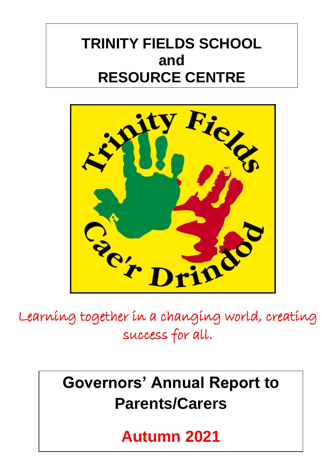## **TRINITY FIELDS SCHOOL and RESOURCE CENTRE**



Learning together in a changing world, creating success for all.

# **Governors' Annual Report to Parents/Carers**

**Autumn 2021**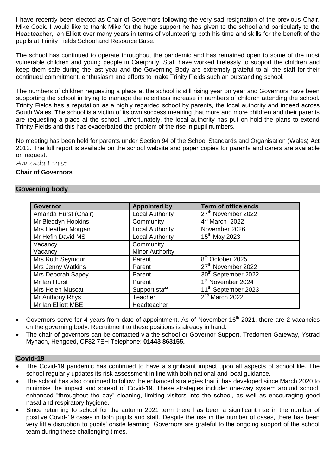I have recently been elected as Chair of Governors following the very sad resignation of the previous Chair, Mike Cook. I would like to thank Mike for the huge support he has given to the school and particularly to the Headteacher, Ian Elliott over many years in terms of volunteering both his time and skills for the benefit of the pupils at Trinity Fields School and Resource Base.

The school has continued to operate throughout the pandemic and has remained open to some of the most vulnerable children and young people in Caerphilly. Staff have worked tirelessly to support the children and keep them safe during the last year and the Governing Body are extremely grateful to all the staff for their continued commitment, enthusiasm and efforts to make Trinity Fields such an outstanding school.

The numbers of children requesting a place at the school is still rising year on year and Governors have been supporting the school in trying to manage the relentless increase in numbers of children attending the school. Trinity Fields has a reputation as a highly regarded school by parents, the local authority and indeed across South Wales. The school is a victim of its own success meaning that more and more children and their parents are requesting a place at the school. Unfortunately, the local authority has put on hold the plans to extend Trinity Fields and this has exacerbated the problem of the rise in pupil numbers.

No meeting has been held for parents under Section 94 of the School Standards and Organisation (Wales) Act 2013. The full report is available on the school website and paper copies for parents and carers are available on request.

Amanda Hurst

#### **Chair of Governors**

#### **Governing body**

| <b>Governor</b>         | <b>Appointed by</b>    | <b>Term of office ends</b>      |
|-------------------------|------------------------|---------------------------------|
| Amanda Hurst (Chair)    | <b>Local Authority</b> | 27 <sup>th</sup> November 2022  |
| Mr Bleddyn Hopkins      | Community              | $4th$ March 2022                |
| Mrs Heather Morgan      | <b>Local Authority</b> | November 2026                   |
| Mr Hefin David MS       | <b>Local Authority</b> | $15^{th}$ May 2023              |
| Vacancy                 | Community              |                                 |
| Vacancy                 | <b>Minor Authority</b> |                                 |
| Mrs Ruth Seymour        | Parent                 | 8 <sup>th</sup> October 2025    |
| Mrs Jenny Watkins       | Parent                 | 27 <sup>th</sup> November 2022  |
| Mrs Deborah Sapey       | Parent                 | 30 <sup>th</sup> September 2022 |
| Mr Ian Hurst            | Parent                 | 1 <sup>st</sup> November 2024   |
| <b>Mrs Helen Muscat</b> | Support staff          | 11 <sup>th</sup> September 2023 |
| Mr Anthony Rhys         | Teacher                | $2nd$ March 2022                |
| Mr Ian Elliott MBE      | Headteacher            |                                 |

- Governors serve for 4 years from date of appointment. As of November 16<sup>th</sup> 2021, there are 2 vacancies on the governing body. Recruitment to these positions is already in hand.
- The chair of governors can be contacted via the school or Governor Support, Tredomen Gateway, Ystrad Mynach, Hengoed, CF82 7EH Telephone: **01443 863155.**

#### **Covid-19**

- The Covid-19 pandemic has continued to have a significant impact upon all aspects of school life. The school regularly updates its risk assessment in line with both national and local guidance.
- The school has also continued to follow the enhanced strategies that it has developed since March 2020 to minimise the impact and spread of Covid-19. These strategies include: one-way system around school, enhanced "throughout the day" cleaning, limiting visitors into the school, as well as encouraging good nasal and respiratory hygiene.
- Since returning to school for the autumn 2021 term there has been a significant rise in the number of positive Covid-19 cases in both pupils and staff. Despite the rise in the number of cases, there has been very little disruption to pupils' onsite learning. Governors are grateful to the ongoing support of the school team during these challenging times.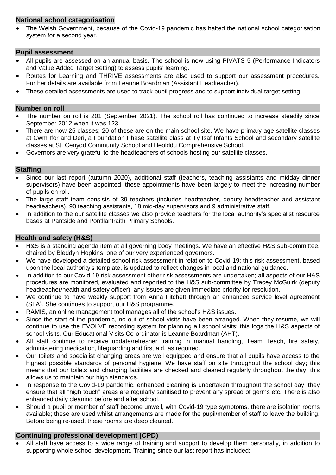#### **National school categorisation**

 The Welsh Government, because of the Covid-19 pandemic has halted the national school categorisation system for a second year.

#### **Pupil assessment**

- All pupils are assessed on an annual basis. The school is now using PIVATS 5 (Performance Indicators and Value Added Target Setting) to assess pupils' learning.
- Routes for Learning and THRIVE assessments are also used to support our assessment procedures. Further details are available from Leanne Boardman (Assistant Headteacher).
- These detailed assessments are used to track pupil progress and to support individual target setting.

#### **Number on roll**

- The number on roll is 201 (September 2021). The school roll has continued to increase steadily since September 2012 when it was 123.
- There are now 25 classes; 20 of these are on the main school site. We have primary age satellite classes at Cwm Ifor and Deri, a Foundation Phase satellite class at Ty Isaf Infants School and secondary satellite classes at St. Cenydd Community School and Heolddu Comprehensive School.
- Governors are very grateful to the headteachers of schools hosting our satellite classes.

#### **Staffing**

- Since our last report (autumn 2020), additional staff (teachers, teaching assistants and midday dinner supervisors) have been appointed; these appointments have been largely to meet the increasing number of pupils on roll.
- The large staff team consists of 39 teachers (includes headteacher, deputy headteacher and assistant headteachers), 90 teaching assistants, 18 mid-day supervisors and 9 administrative staff.
- In addition to the our satellite classes we also provide teachers for the local authority's specialist resource bases at Pantside and Pontllanfraith Primary Schools.

#### **Health and safety (H&S)**

- H&S is a standing agenda item at all governing body meetings. We have an effective H&S sub-committee, chaired by Bleddyn Hopkins, one of our very experienced governors.
- We have developed a detailed school risk assessment in relation to Covid-19; this risk assessment, based upon the local authority's template, is updated to reflect changes in local and national guidance.
- In addition to our Covid-19 risk assessment other risk assessments are undertaken; all aspects of our H&S procedures are monitored, evaluated and reported to the H&S sub-committee by Tracey McGuirk (deputy headteacher/health and safety officer); any issues are given immediate priority for resolution.
- We continue to have weekly support from Anna Fitchett through an enhanced service level agreement (SLA). She continues to support our H&S programme.
- RAMIS, an online management tool manages all of the school's H&S issues.
- Since the start of the pandemic, no out of school visits have been arranged. When they resume, we will continue to use the EVOLVE recording system for planning all school visits; this logs the H&S aspects of school visits. Our Educational Visits Co-ordinator is Leanne Boardman (AHT).
- All staff continue to receive update/refresher training in manual handling, Team Teach, fire safety, administering medication, lifeguarding and first aid, as required.
- Our toilets and specialist changing areas are well equipped and ensure that all pupils have access to the highest possible standards of personal hygiene. We have staff on site throughout the school day; this means that our toilets and changing facilities are checked and cleaned regularly throughout the day; this allows us to maintain our high standards.
- In response to the Covid-19 pandemic, enhanced cleaning is undertaken throughout the school day; they ensure that all "high touch" areas are regularly sanitised to prevent any spread of germs etc. There is also enhanced daily cleaning before and after school.
- Should a pupil or member of staff become unwell, with Covid-19 type symptoms, there are isolation rooms available; these are used whilst arrangements are made for the pupil/member of staff to leave the building. Before being re-used, these rooms are deep cleaned.

#### **Continuing professional development (CPD)**

 All staff have access to a wide range of training and support to develop them personally, in addition to supporting whole school development. Training since our last report has included: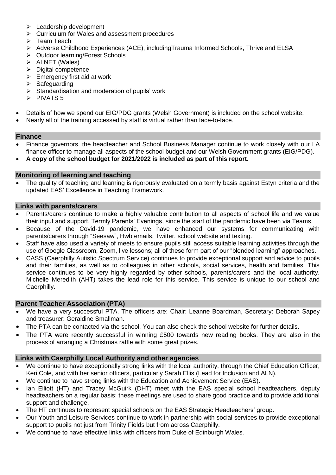- $\triangleright$  Leadership development
- $\triangleright$  Curriculum for Wales and assessment procedures
- $\triangleright$  Team Teach
- Adverse Childhood Experiences (ACE), includingTrauma Informed Schools, Thrive and ELSA
- ▶ Outdoor learning/Forest Schools
- $\triangleright$  ALNET (Wales)
- $\triangleright$  Digital competence
- $\triangleright$  Emergency first aid at work
- $\triangleright$  Safeguarding
- $\triangleright$  Standardisation and moderation of pupils' work
- $\triangleright$  PIVATS 5
- Details of how we spend our EIG/PDG grants (Welsh Government) is included on the school website.
- Nearly all of the training accessed by staff is virtual rather than face-to-face.

#### **Finance**

- Finance governors, the headteacher and School Business Manager continue to work closely with our LA finance officer to manage all aspects of the school budget and our Welsh Government grants (EIG/PDG).
- **A copy of the school budget for 2021/2022 is included as part of this report.**

#### **Monitoring of learning and teaching**

 The quality of teaching and learning is rigorously evaluated on a termly basis against Estyn criteria and the updated EAS' Excellence in Teaching Framework.

#### **Links with parents/carers**

- Parents/carers continue to make a highly valuable contribution to all aspects of school life and we value their input and support. Termly Parents' Evenings, since the start of the pandemic have been via Teams.
- Because of the Covid-19 pandemic, we have enhanced our systems for communicating with parents/carers through "Seesaw", Hwb emails, Twitter, school website and texting.
- Staff have also used a variety of meets to ensure pupils still access suitable learning activities through the use of Google Classroom, Zoom, live lessons; all of these form part of our "blended learning" approaches.
- CASS (Caerphilly Autistic Spectrum Service) continues to provide exceptional support and advice to pupils and their families, as well as to colleagues in other schools, social services, health and families. This service continues to be very highly regarded by other schools, parents/carers and the local authority. Michelle Meredith (AHT) takes the lead role for this service. This service is unique to our school and Caerphilly.

#### **Parent Teacher Association (PTA)**

- We have a very successful PTA. The officers are: Chair: Leanne Boardman, Secretary: Deborah Sapey and treasurer: Geraldine Smallman.
- The PTA can be contacted via the school. You can also check the school website for further details.
- The PTA were recently successful in winning £500 towards new reading books. They are also in the process of arranging a Christmas raffle with some great prizes.

#### **Links with Caerphilly Local Authority and other agencies**

- We continue to have exceptionally strong links with the local authority, through the Chief Education Officer, Keri Cole, and with her senior officers, particularly Sarah Ellis (Lead for Inclusion and ALN).
- We continue to have strong links with the Education and Achievement Service (EAS).
- Ian Elliott (HT) and Tracey McGuirk (DHT) meet with the EAS special school headteachers, deputy headteachers on a regular basis; these meetings are used to share good practice and to provide additional support and challenge.
- The HT continues to represent special schools on the EAS Strategic Headteachers' group.
- Our Youth and Leisure Services continue to work in partnership with social services to provide exceptional support to pupils not just from Trinity Fields but from across Caerphilly.
- We continue to have effective links with officers from Duke of Edinburgh Wales.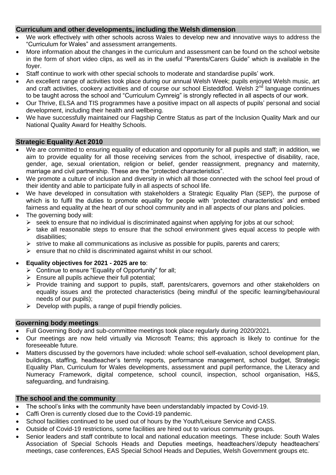#### **Curriculum and other developments, including the Welsh dimension**

- We work effectively with other schools across Wales to develop new and innovative ways to address the "Curriculum for Wales" and assessment arrangements.
- More information about the changes in the curriculum and assessment can be found on the school website in the form of short video clips, as well as in the useful "Parents/Carers Guide" which is available in the foyer.
- Staff continue to work with other special schools to moderate and standardise pupils' work.
- An excellent range of activities took place during our annual Welsh Week; pupils enjoyed Welsh music, art and craft activities, cookery activities and of course our school Eisteddfod. Welsh 2<sup>nd</sup> language continues to be taught across the school and "Curriculum Cymreig" is strongly reflected in all aspects of our work.
- Our Thrive, ELSA and TIS programmes have a positive impact on all aspects of pupils' personal and social development, including their health and wellbeing.
- We have successfully maintained our Flagship Centre Status as part of the Inclusion Quality Mark and our National Quality Award for Healthy Schools.

#### **Strategic Equality Act 2010**

- We are committed to ensuring equality of education and opportunity for all pupils and staff; in addition, we aim to provide equality for all those receiving services from the school, irrespective of disability, race, gender, age, sexual orientation, religion or belief, gender reassignment, pregnancy and maternity, marriage and civil partnership. These are the "protected characteristics".
- We promote a culture of inclusion and diversity in which all those connected with the school feel proud of their identity and able to participate fully in all aspects of school life.
- We have developed in consultation with stakeholders a Strategic Equality Plan (SEP), the purpose of which is to fulfil the duties to promote equality for people with 'protected characteristics' and embed fairness and equality at the heart of our school community and in all aspects of our plans and policies.
- The governing body will:
	- $\triangleright$  seek to ensure that no individual is discriminated against when applying for jobs at our school;
	- $\triangleright$  take all reasonable steps to ensure that the school environment gives equal access to people with disabilities;
	- $\triangleright$  strive to make all communications as inclusive as possible for pupils, parents and carers;
	- $\triangleright$  ensure that no child is discriminated against whilst in our school.

#### **Equality objectives for 2021 - 2025 are to**:

- $\triangleright$  Continue to ensure "Equality of Opportunity" for all;
- $\triangleright$  Ensure all pupils achieve their full potential;
- $\triangleright$  Provide training and support to pupils, staff, parents/carers, governors and other stakeholders on equality issues and the protected characteristics (being mindful of the specific learning/behavioural needs of our pupils);
- $\triangleright$  Develop with pupils, a range of pupil friendly policies.

#### **Governing body meetings**

- Full Governing Body and sub-committee meetings took place regularly during 2020/2021.
- Our meetings are now held virtually via Microsoft Teams; this approach is likely to continue for the foreseeable future.
- Matters discussed by the governors have included: whole school self-evaluation, school development plan, buildings, staffing, headteacher's termly reports, performance management, school budget, Strategic Equality Plan, Curriculum for Wales developments, assessment and pupil performance, the Literacy and Numeracy Framework, digital competence, school council, inspection, school organisation, H&S, safeguarding, and fundraising.

#### **The school and the community**

- The school's links with the community have been understandably impacted by Covid-19.
- Caffi Oren is currently closed due to the Covid-19 pandemic.
- School facilities continued to be used out of hours by the Youth/Leisure Service and CASS.
- Outside of Covid-19 restrictions, some facilities are hired out to various community groups.
- Senior leaders and staff contribute to local and national education meetings. These include: South Wales Association of Special Schools Heads and Deputies meetings, headteachers'/deputy headteachers' meetings, case conferences, EAS Special School Heads and Deputies, Welsh Government groups etc.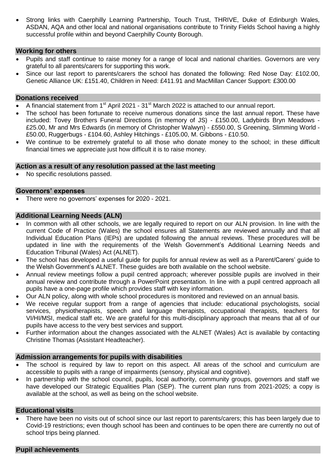Strong links with Caerphilly Learning Partnership, Touch Trust, THRIVE, Duke of Edinburgh Wales, ASDAN, AQA and other local and national organisations contribute to Trinity Fields School having a highly successful profile within and beyond Caerphilly County Borough.

#### **Working for others**

- Pupils and staff continue to raise money for a range of local and national charities. Governors are very grateful to all parents/carers for supporting this work.
- Since our last report to parents/carers the school has donated the following: Red Nose Day: £102.00, Genetic Alliance UK: £151.40, Children in Need: £411.91 and MacMillan Cancer Support: £300.00

#### **Donations received**

- A financial statement from 1<sup>st</sup> April 2021 31<sup>st</sup> March 2022 is attached to our annual report.
- The school has been fortunate to receive numerous donations since the last annual report. These have included: Tovey Brothers Funeral Directions (in memory of JS) - £150.00, Ladybirds Bryn Meadows - £25.00, Mr and Mrs Edwards (in memory of Christopher Walwyn) - £550.00, S Greening, Slimming World - £50.00, Ruggerbugs - £104.60, Ashley Hitchings - £105.00, M. Gibbons - £10.50.
- We continue to be extremely grateful to all those who donate money to the school; in these difficult financial times we appreciate just how difficult it is to raise money.

#### **Action as a result of any resolution passed at the last meeting**

No specific resolutions passed.

#### **Governors' expenses**

• There were no governors' expenses for 2020 - 2021.

#### **Additional Learning Needs (ALN)**

- In common with all other schools, we are legally required to report on our ALN provision. In line with the current Code of Practice (Wales) the school ensures all Statements are reviewed annually and that all Individual Education Plans (IEPs) are updated following the annual reviews. These procedures will be updated in line with the requirements of the Welsh Government's Additional Learning Needs and Education Tribunal (Wales) Act (ALNET).
- The school has developed a useful guide for pupils for annual review as well as a Parent/Carers' guide to the Welsh Government's ALNET. These guides are both available on the school website.
- Annual review meetings follow a pupil centred approach; wherever possible pupils are involved in their annual review and contribute through a PowerPoint presentation. In line with a pupil centred approach all pupils have a one-page profile which provides staff with key information.
- Our ALN policy, along with whole school procedures is monitored and reviewed on an annual basis.
- We receive regular support from a range of agencies that include: educational psychologists, social services, physiotherapists, speech and language therapists, occupational therapists, teachers for VI/HI/MSI, medical staff etc. We are grateful for this multi-disciplinary approach that means that all of our pupils have access to the very best services and support.
- Further information about the changes associated with the ALNET (Wales) Act is available by contacting Christine Thomas (Assistant Headteacher).

#### **Admission arrangements for pupils with disabilities**

- The school is required by law to report on this aspect. All areas of the school and curriculum are accessible to pupils with a range of impairments (sensory, physical and cognitive).
- In partnership with the school council, pupils, local authority, community groups, governors and staff we have developed our Strategic Equalities Plan (SEP). The current plan runs from 2021-2025; a copy is available at the school, as well as being on the school website.

#### **Educational visits**

 There have been no visits out of school since our last report to parents/carers; this has been largely due to Covid-19 restrictions; even though school has been and continues to be open there are currently no out of school trips being planned.

#### **Pupil achievements**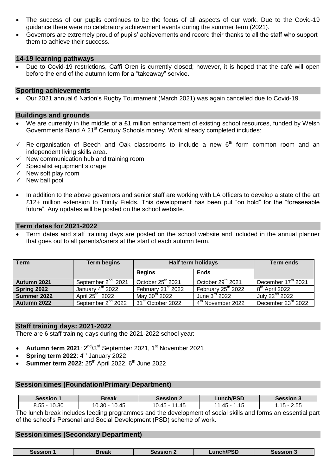- The success of our pupils continues to be the focus of all aspects of our work. Due to the Covid-19 guidance there were no celebratory achievement events during the summer term (2021).
- Governors are extremely proud of pupils' achievements and record their thanks to all the staff who support them to achieve their success.

#### **14-19 learning pathways**

 Due to Covid-19 restrictions, Caffi Oren is currently closed; however, it is hoped that the café will open before the end of the autumn term for a "takeaway" service.

#### **Sporting achievements**

Our 2021 annual 6 Nation's Rugby Tournament (March 2021) was again cancelled due to Covid-19.

#### **Buildings and grounds**

- We are currently in the middle of a £1 million enhancement of existing school resources, funded by Welsh Governments Band A 21<sup>st</sup> Century Schools money. Work already completed includes:
- $\checkmark$  Re-organisation of Beech and Oak classrooms to include a new  $6<sup>th</sup>$  form common room and an independent living skills area.
- $\checkmark$  New communication hub and training room
- $\checkmark$  Specialist equipment storage
- $\checkmark$  New soft play room
- $\checkmark$  New ball pool
- In addition to the above governors and senior staff are working with LA officers to develop a state of the art £12+ million extension to Trinity Fields. This development has been put "on hold" for the "foreseeable future". Any updates will be posted on the school website.

#### **Term dates for 2021-2022**

 Term dates and staff training days are posted on the school website and included in the annual planner that goes out to all parents/carers at the start of each autumn term.

| <b>Term</b> | <b>Term begins</b>             | <b>Half term holidays</b>      |                                  | <b>Term ends</b>               |
|-------------|--------------------------------|--------------------------------|----------------------------------|--------------------------------|
|             |                                | <b>Begins</b>                  | <b>Ends</b>                      |                                |
| Autumn 2021 | September 2 <sup>nd</sup> 2021 | October 25 <sup>th</sup> 2021  | October 29th 2021                | December 17 <sup>th</sup> 2021 |
| Spring 2022 | January 4 <sup>th</sup> 2022   | February 21 <sup>st</sup> 2022 | February $25^{\text{th}}$ $2022$ | 8 <sup>th</sup> April 2022     |
| Summer 2022 | April 25 <sup>th</sup> 2022    | May 30 <sup>th</sup> 2022      | June $3rd$ 2022                  | July 22 <sup>nd</sup> 2022     |
| Autumn 2022 | September 2 <sup>nd</sup> 2022 | 31 <sup>st</sup> October 2022  | 4 <sup>th</sup> November 2022    | December 23rd 2022             |

#### **Staff training days: 2021-2022**

There are 6 staff training days during the 2021-2022 school year:

- Autumn term 2021: 2<sup>nd</sup>/3<sup>rd</sup> September 2021, 1<sup>st</sup> November 2021
- **Spring term 2022**: 4 th January 2022
- **Summer term 2022: 25<sup>th</sup> April 2022, 6<sup>th</sup> June 2022**

#### **Session times (Foundation/Primary Department)**

| <b>Session</b>                                                                                               | Break         | <b>Session 2</b> | <b>Lunch/PSD</b> | <b>Session 3</b> |
|--------------------------------------------------------------------------------------------------------------|---------------|------------------|------------------|------------------|
| $8.55 - 10.30$                                                                                               | 10.30 - 10.45 | 10.45 - 11.45    | $11.45 - 1.15$   | 2.55<br>.15 -    |
| The lungh break included fooding programmes and the development of escial akille and ferms an essential part |               |                  |                  |                  |

The lunch break includes feeding programmes and the development of social skills and forms an essential part of the school's Personal and Social Development (PSD) scheme of work.

#### **Session times (Secondary Department)**

| <b>Session 1</b> | Break | Session 2 | <b>∟unch/PSD</b> | <b>Session 3</b> |
|------------------|-------|-----------|------------------|------------------|
|------------------|-------|-----------|------------------|------------------|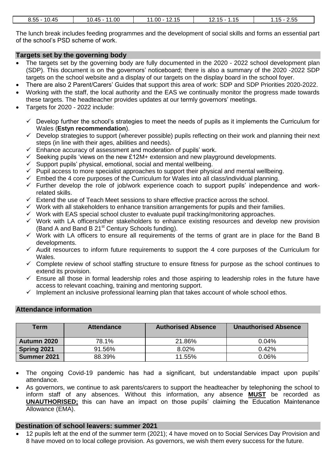| .45<br>---<br>1 C<br>ぃ<br>ບ.ບບ<br>.<br>- - -<br>___ | .00<br>1 C<br>- 4<br>4 E<br>. ن ۱<br>᠇៶<br>___<br>____ | --<br>$.00 \cdot$<br>$\sim$<br>-<br>-<br>ں ،ے<br>____ | $\overline{A}$<br>. .<br><b>16</b><br>w<br>◡<br>$\sim$ $\sim$ | ---<br>-<br>$H_{\rm{hh}}$<br>- . U U<br>__<br>__ |
|-----------------------------------------------------|--------------------------------------------------------|-------------------------------------------------------|---------------------------------------------------------------|--------------------------------------------------|
|                                                     |                                                        |                                                       |                                                               |                                                  |

The lunch break includes feeding programmes and the development of social skills and forms an essential part of the school's PSD scheme of work.

#### **Targets set by the governing body**

- The targets set by the governing body are fully documented in the 2020 2022 school development plan (SDP). This document is on the governors' noticeboard; there is also a summary of the 2020 -2022 SDP targets on the school website and a display of our targets on the display board in the school foyer.
- There are also 2 Parent/Carers' Guides that support this area of work: SDP and SDP Priorities 2020-2022.
- Working with the staff, the local authority and the EAS we continually monitor the progress made towards these targets. The headteacher provides updates at our termly governors' meetings.
- Targets for 2020 2022 include:
	- $\checkmark$  Develop further the school's strategies to meet the needs of pupils as it implements the Curriculum for Wales (**Estyn recommendation**).
	- $\checkmark$  Develop strategies to support (wherever possible) pupils reflecting on their work and planning their next steps (in line with their ages, abilities and needs).
	- $\checkmark$  Enhance accuracy of assessment and moderation of pupils' work.
	- $\checkmark$  Seeking pupils 'views on the new £12M+ extension and new playground developments.
	- $\checkmark$  Support pupils' physical, emotional, social and mental wellbeing.
	- $\checkmark$  Pupil access to more specialist approaches to support their physical and mental wellbeing.
	- $\checkmark$  Embed the 4 core purposes of the Curriculum for Wales into all class/individual planning.
	- $\checkmark$  Further develop the role of job/work experience coach to support pupils' independence and workrelated skills.
	- $\checkmark$  Extend the use of Teach Meet sessions to share effective practice across the school.
	- $\checkmark$  Work with all stakeholders to enhance transition arrangements for pupils and their families.
	- $\checkmark$  Work with EAS special school cluster to evaluate pupil tracking/monitoring approaches.
	- $\checkmark$  Work with LA officers/other stakeholders to enhance existing resources and develop new provision (Band A and Band B  $21<sup>st</sup>$  Century Schools funding).
	- $\checkmark$  Work with LA officers to ensure all requirements of the terms of grant are in place for the Band B developments.
	- $\checkmark$  Audit resources to inform future requirements to support the 4 core purposes of the Curriculum for Wales.
	- $\checkmark$  Complete review of school staffing structure to ensure fitness for purpose as the school continues to extend its provision.
	- $\checkmark$  Ensure all those in formal leadership roles and those aspiring to leadership roles in the future have access to relevant coaching, training and mentoring support.
	- $\checkmark$  Implement an inclusive professional learning plan that takes account of whole school ethos.

#### **Attendance information**

| Term        | <b>Attendance</b> | <b>Authorised Absence</b> | <b>Unauthorised Absence</b> |
|-------------|-------------------|---------------------------|-----------------------------|
| Autumn 2020 | 78.1%             | 21.86%                    | 0.04%                       |
| Spring 2021 | 91.56%            | 8.02%                     | 0.42%                       |
| Summer 2021 | 88.39%            | 11.55%                    | 0.06%                       |

- The ongoing Covid-19 pandemic has had a significant, but understandable impact upon pupils' attendance.
- As governors, we continue to ask parents/carers to support the headteacher by telephoning the school to inform staff of any absences. Without this information, any absence **MUST** be recorded as **UNAUTHORISED;** this can have an impact on those pupils' claiming the Education Maintenance Allowance (EMA).

#### **Destination of school leavers: summer 2021**

 12 pupils left at the end of the summer term (2021); 4 have moved on to Social Services Day Provision and 8 have moved on to local college provision. As governors, we wish them every success for the future.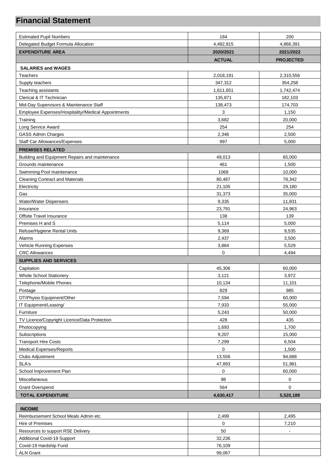### **Financial Statement**

| <b>Estimated Pupil Numbers</b>                                    | 184            | 200              |
|-------------------------------------------------------------------|----------------|------------------|
| Delegated Budget Formula Allocation                               | 4,482,815      | 4,866,391        |
| <b>EXPENDITURE AREA</b>                                           | 2020/2021      | 2021/2022        |
|                                                                   | <b>ACTUAL</b>  | <b>PROJECTED</b> |
|                                                                   |                |                  |
| <b>SALARIES and WAGES</b><br><b>Teachers</b>                      | 2,018,191      | 2,310,556        |
| Supply teachers                                                   | 347,312        | 354,258          |
| Teaching assistants                                               | 1,611,651      | 1,742,474        |
| Clerical & IT Technician                                          | 135,871        | 182,103          |
|                                                                   | 138,473        | 174,703          |
| Mid-Day Supervisors & Maintenance Staff                           | 3              | 1,150            |
| Employee Expenses/Hospitality//Medical Appointments<br>Training   | 3,682          | 20,000           |
| Long Service Award                                                | 254            | 254              |
|                                                                   | 2,346          | 2,500            |
| <b>GASS Admin Charges</b><br><b>Staff Car Allowances/Expenses</b> | 997            | 5,000            |
|                                                                   |                |                  |
| <b>PREMISES RELATED</b>                                           |                |                  |
| Building and Equipment Repairs and maintenance                    | 49,013         | 65,000           |
| Grounds maintenance                                               | 461            | 1,500            |
| Swimming Pool maintenance                                         | 1068           | 10,000           |
| <b>Cleaning Contract and Materials</b>                            | 80,487         | 78,342           |
| Electricity<br>Gas                                                | 21,105         | 29,180           |
|                                                                   | 31,373         | 35,000           |
| Water/Water Dispensers                                            | 9,335          | 11,831           |
| Insurance<br>Offsite Travel Insurance                             | 23,791<br>138  | 24,963<br>139    |
| Premises H and S                                                  |                |                  |
|                                                                   | 5,114          | 5,000            |
| Refuse/Hygiene Rental Units<br>Alarms                             | 9,369<br>2,437 | 9,535<br>3,500   |
| <b>Vehicle Running Expenses</b>                                   | 3,864          | 5,529            |
| <b>CRC Allowances</b>                                             | 0              | 4,494            |
|                                                                   |                |                  |
| <b>SUPPLIES AND SERVICES</b><br>Capitation                        | 45,306         | 60,000           |
| Whole School Stationery                                           | 3,121          | 3,972            |
| Telephone/Mobile Phones                                           |                |                  |
| Postage                                                           | 10,134<br>829  | 11,101<br>985    |
| OT/Physio Equipment/Other                                         | 7,594          | 60,000           |
| IT Equipment/Leasing/                                             | 7,933          | 55,000           |
| Furniture                                                         | 5,243          | 50,000           |
| TV Licence/Copyright Licence/Data Protection                      | 428            | 435              |
| Photocopying                                                      | 1,693          | 1,700            |
| Subscriptions                                                     | 9,207          | 15,000           |
| <b>Transport Hire Costs</b>                                       | 7,299          | 6,504            |
| <b>Medical Expenses/Reports</b>                                   | $\mathbf 0$    | 1,500            |
| Clubs Adjustment                                                  | 13,556         | 94,688           |
| SLA's                                                             | 47,893         | 51,981           |
| School Improvement Plan                                           | $\mathsf 0$    | 60,000           |
|                                                                   |                |                  |
| Miscellaneous                                                     | 98             | 0                |
| <b>Grant Overspend</b>                                            | 564            | $\mathbf 0$      |
| <b>TOTAL EXPENDITURE</b>                                          | 4,630,417      | 5,520,189        |
| <b>INCOME</b>                                                     |                |                  |
|                                                                   |                |                  |

| Reimbursement School Meals Admin etc | 2.499  | 2.495 |
|--------------------------------------|--------|-------|
| Hire of Premises                     |        | 7.210 |
| Resources to support RSE Delivery    | 50     |       |
| Additional Covid-19 Support          | 32.236 |       |
| Covid-19 Hardship Fund               | 76.109 |       |
| <b>ALN Grant</b>                     | 99.067 |       |